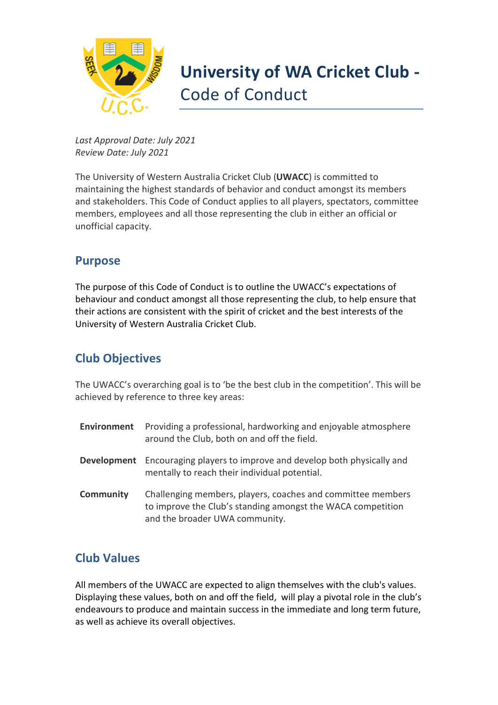

# **University of WA Cricket Club -** Code of Conduct

*Last Approval Date: July 2021 Review Date: July 2021* 

The University of Western Australia Cricket Club (**UWACC**) is committed to maintaining the highest standards of behavior and conduct amongst its members and stakeholders. This Code of Conduct applies to all players, spectators, committee members, employees and all those representing the club in either an official or unofficial capacity.

### **Purpose**

The purpose of this Code of Conduct is to outline the UWACC's expectations of behaviour and conduct amongst all those representing the club, to help ensure that their actions are consistent with the spirit of cricket and the best interests of the University of Western Australia Cricket Club.

## **Club Objectives**

The UWACC's overarching goal is to 'be the best club in the competition'. This will be achieved by reference to three key areas:

| Environment      | Providing a professional, hardworking and enjoyable atmosphere<br>around the Club, both on and off the field.                                                |
|------------------|--------------------------------------------------------------------------------------------------------------------------------------------------------------|
| Development      | Encouraging players to improve and develop both physically and<br>mentally to reach their individual potential.                                              |
| <b>Community</b> | Challenging members, players, coaches and committee members<br>to improve the Club's standing amongst the WACA competition<br>and the broader UWA community. |

# **Club Values**

All members of the UWACC are expected to align themselves with the club's values. Displaying these values, both on and off the field, will play a pivotal role in the club's endeavours to produce and maintain success in the immediate and long term future, as well as achieve its overall objectives.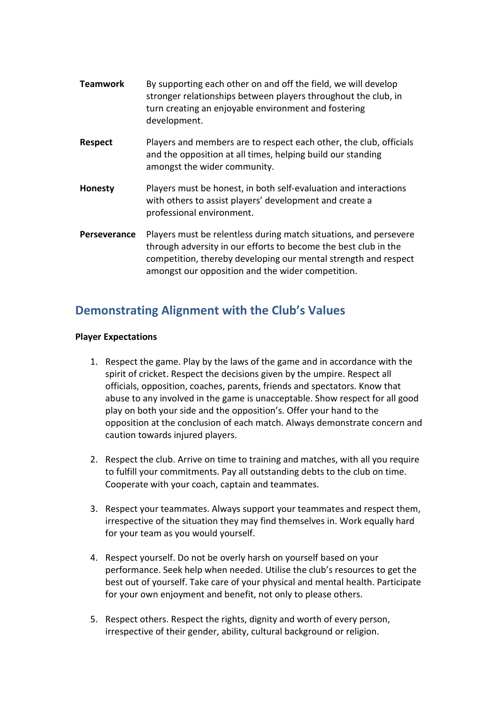- **Teamwork** By supporting each other on and off the field, we will develop stronger relationships between players throughout the club, in turn creating an enjoyable environment and fostering development.
- **Respect** Players and members are to respect each other, the club, officials and the opposition at all times, helping build our standing amongst the wider community.
- **Honesty** Players must be honest, in both self-evaluation and interactions with others to assist players' development and create a professional environment.
- **Perseverance** Players must be relentless during match situations, and persevere through adversity in our efforts to become the best club in the competition, thereby developing our mental strength and respect amongst our opposition and the wider competition.

### **Demonstrating Alignment with the Club's Values**

#### **Player Expectations**

- 1. Respect the game. Play by the laws of the game and in accordance with the spirit of cricket. Respect the decisions given by the umpire. Respect all officials, opposition, coaches, parents, friends and spectators. Know that abuse to any involved in the game is unacceptable. Show respect for all good play on both your side and the opposition's. Offer your hand to the opposition at the conclusion of each match. Always demonstrate concern and caution towards injured players.
- 2. Respect the club. Arrive on time to training and matches, with all you require to fulfill your commitments. Pay all outstanding debts to the club on time. Cooperate with your coach, captain and teammates.
- 3. Respect your teammates. Always support your teammates and respect them, irrespective of the situation they may find themselves in. Work equally hard for your team as you would yourself.
- 4. Respect yourself. Do not be overly harsh on yourself based on your performance. Seek help when needed. Utilise the club's resources to get the best out of yourself. Take care of your physical and mental health. Participate for your own enjoyment and benefit, not only to please others.
- 5. Respect others. Respect the rights, dignity and worth of every person, irrespective of their gender, ability, cultural background or religion.